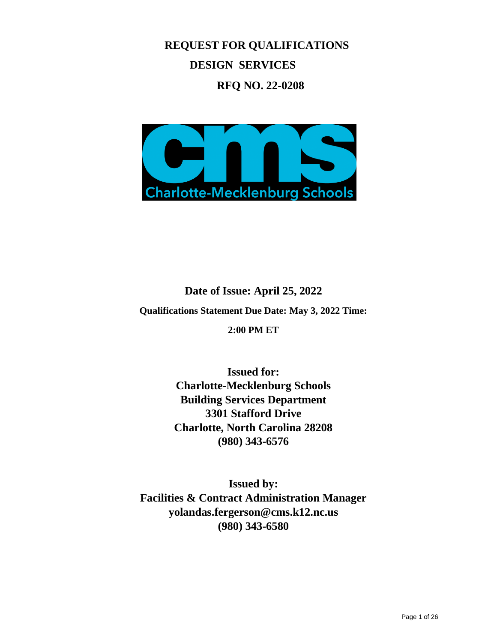**REQUEST FOR QUALIFICATIONS DESIGN SERVICES**

**RFQ NO. 22-0208**



**Date of Issue: April 25, 2022 Qualifications Statement Due Date: May 3, 2022 Time: 2:00 PM ET**

> **Issued for: Charlotte-Mecklenburg Schools Building Services Department 3301 Stafford Drive Charlotte, North Carolina 28208 (980) 343-6576**

**Issued by: Facilities & Contract Administration Manager [yolandas.fergerson@cms.k12.nc.us](mailto:yolandas.fergerson@cms.k12.nc.us) (980) 343-6580**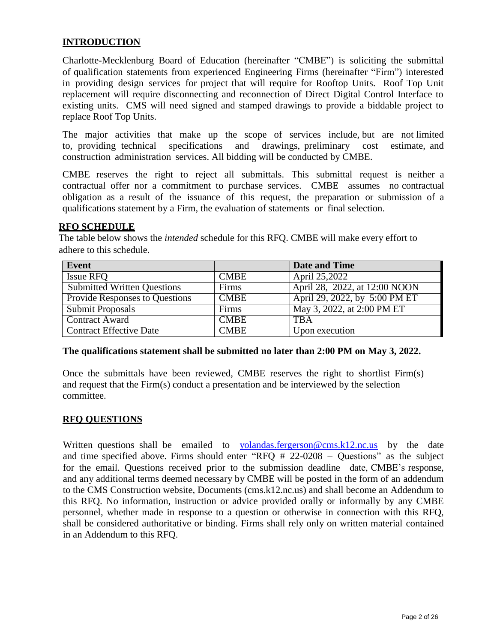# **INTRODUCTION**

Charlotte-Mecklenburg Board of Education (hereinafter "CMBE") is soliciting the submittal of qualification statements from experienced Engineering Firms (hereinafter "Firm") interested in providing design services for project that will require for Rooftop Units. Roof Top Unit replacement will require disconnecting and reconnection of Direct Digital Control Interface to existing units. CMS will need signed and stamped drawings to provide a biddable project to replace Roof Top Units.

The major activities that make up the scope of services include, but are not limited to, providing technical specifications and drawings, preliminary cost estimate, and construction administration services. All bidding will be conducted by CMBE.

CMBE reserves the right to reject all submittals. This submittal request is neither a contractual offer nor a commitment to purchase services. CMBE assumes no contractual obligation as a result of the issuance of this request, the preparation or submission of a qualifications statement by a Firm, the evaluation of statements or final selection.

### **RFQ SCHEDULE**

The table below shows the *intended* schedule for this RFQ. CMBE will make every effort to adhere to this schedule.

| Event                          |             | <b>Date and Time</b>          |
|--------------------------------|-------------|-------------------------------|
| <b>Issue RFO</b>               | <b>CMBE</b> | April 25,2022                 |
| Submitted Written Questions    | Firms       | April 28, 2022, at 12:00 NOON |
| Provide Responses to Questions | <b>CMBE</b> | April 29, 2022, by 5:00 PM ET |
| Submit Proposals               | Firms       | May 3, 2022, at 2:00 PM ET    |
| <b>Contract Award</b>          | <b>CMBE</b> | <b>TBA</b>                    |
| <b>Contract Effective Date</b> | <b>CMBE</b> | Upon execution                |

### **The qualifications statement shall be submitted no later than 2:00 PM on May 3, 2022.**

Once the submittals have been reviewed, CMBE reserves the right to shortlist Firm(s) and request that the Firm(s) conduct a presentation and be interviewed by the selection committee.

### **RFQ QUESTIONS**

Written questions shall be emailed to [yolandas.fergerson@cms.k12.nc.us](mailto:tinawright@catawbacountync.gov) by the date and time specified above. Firms should enter "RFQ # 22-0208 – Questions" as the subject for the email. Questions received prior to the submission deadline date, CMBE's response, and any additional terms deemed necessary by CMBE will be posted in the form of an addendum to the CMS Construction website, Documents (cms.k12.nc.us) and shall become an Addendum to this RFQ. No information, instruction or advice provided orally or informally by any CMBE personnel, whether made in response to a question or otherwise in connection with this RFQ, shall be considered authoritative or binding. Firms shall rely only on written material contained in an Addendum to this RFQ.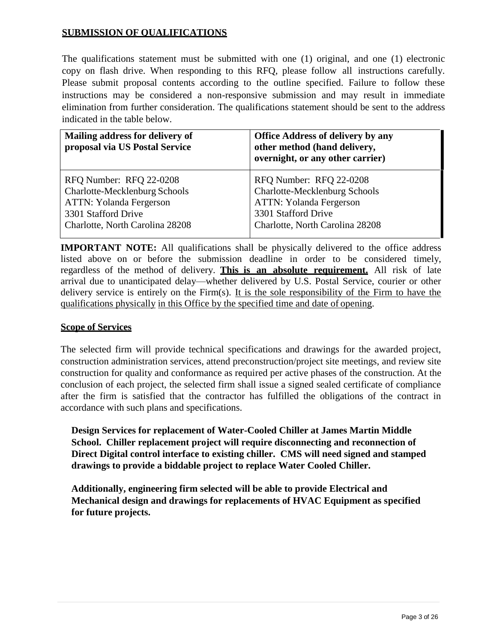# **SUBMISSION OF QUALIFICATIONS**

The qualifications statement must be submitted with one (1) original, and one (1) electronic copy on flash drive. When responding to this RFQ, please follow all instructions carefully. Please submit proposal contents according to the outline specified. Failure to follow these instructions may be considered a non-responsive submission and may result in immediate elimination from further consideration. The qualifications statement should be sent to the address indicated in the table below.

| Mailing address for delivery of<br>proposal via US Postal Service | <b>Office Address of delivery by any</b><br>other method (hand delivery,<br>overnight, or any other carrier) |
|-------------------------------------------------------------------|--------------------------------------------------------------------------------------------------------------|
| RFQ Number: RFQ 22-0208                                           | RFQ Number: RFQ 22-0208                                                                                      |
| Charlotte-Mecklenburg Schools                                     | Charlotte-Mecklenburg Schools                                                                                |
| ATTN: Yolanda Fergerson                                           | <b>ATTN: Yolanda Fergerson</b>                                                                               |
| 3301 Stafford Drive                                               | 3301 Stafford Drive                                                                                          |
| Charlotte, North Carolina 28208                                   | Charlotte, North Carolina 28208                                                                              |

**IMPORTANT NOTE:** All qualifications shall be physically delivered to the office address listed above on or before the submission deadline in order to be considered timely, regardless of the method of delivery. **This is an absolute requirement.** All risk of late arrival due to unanticipated delay—whether delivered by U.S. Postal Service, courier or other delivery service is entirely on the Firm(s). It is the sole responsibility of the Firm to have the qualifications physically in this Office by the specified time and date of opening.

## **Scope of Services**

The selected firm will provide technical specifications and drawings for the awarded project, construction administration services, attend preconstruction/project site meetings, and review site construction for quality and conformance as required per active phases of the construction. At the conclusion of each project, the selected firm shall issue a signed sealed certificate of compliance after the firm is satisfied that the contractor has fulfilled the obligations of the contract in accordance with such plans and specifications.

**Design Services for replacement of Water-Cooled Chiller at James Martin Middle School. Chiller replacement project will require disconnecting and reconnection of Direct Digital control interface to existing chiller. CMS will need signed and stamped drawings to provide a biddable project to replace Water Cooled Chiller.**

**Additionally, engineering firm selected will be able to provide Electrical and Mechanical design and drawings for replacements of HVAC Equipment as specified for future projects.**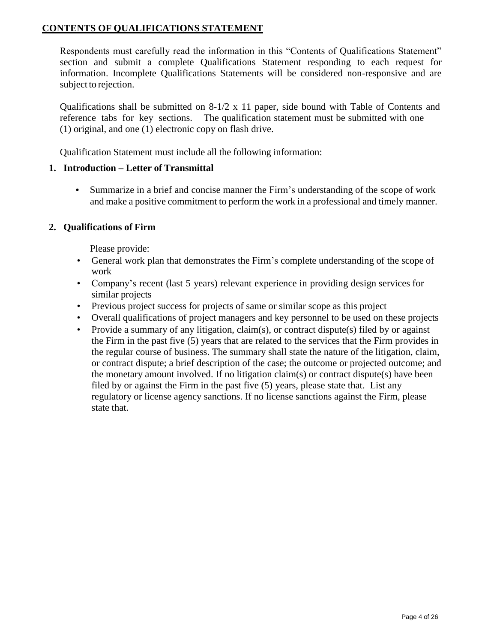# **CONTENTS OF QUALIFICATIONS STATEMENT**

Respondents must carefully read the information in this "Contents of Qualifications Statement" section and submit a complete Qualifications Statement responding to each request for information. Incomplete Qualifications Statements will be considered non-responsive and are subject to rejection.

Qualifications shall be submitted on 8-1/2 x 11 paper, side bound with Table of Contents and reference tabs for key sections. The qualification statement must be submitted with one (1) original, and one (1) electronic copy on flash drive.

Qualification Statement must include all the following information:

# **1. Introduction – Letter of Transmittal**

• Summarize in a brief and concise manner the Firm's understanding of the scope of work and make a positive commitment to perform the work in a professional and timely manner.

# **2. Qualifications of Firm**

Please provide:

- General work plan that demonstrates the Firm's complete understanding of the scope of work
- Company's recent (last 5 years) relevant experience in providing design services for similar projects
- Previous project success for projects of same or similar scope as this project
- Overall qualifications of project managers and key personnel to be used on these projects
- Provide a summary of any litigation, claim(s), or contract dispute(s) filed by or against the Firm in the past five (5) years that are related to the services that the Firm provides in the regular course of business. The summary shall state the nature of the litigation, claim, or contract dispute; a brief description of the case; the outcome or projected outcome; and the monetary amount involved. If no litigation claim(s) or contract dispute(s) have been filed by or against the Firm in the past five (5) years, please state that. List any regulatory or license agency sanctions. If no license sanctions against the Firm, please state that.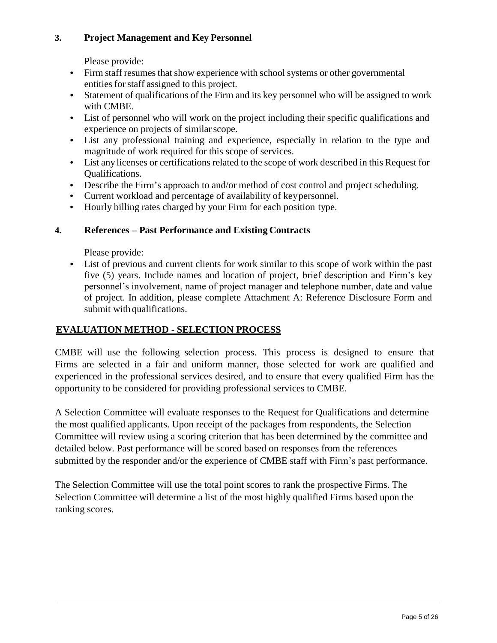# **3. Project Management and Key Personnel**

Please provide:

- Firm staff resumes that show experience with school systems or other governmental entities for staff assigned to this project.
- Statement of qualifications of the Firm and its key personnel who will be assigned to work with CMBE.
- List of personnel who will work on the project including their specific qualifications and experience on projects of similar scope.
- List any professional training and experience, especially in relation to the type and magnitude of work required for this scope of services.
- List any licenses or certifications related to the scope of work described in this Request for Qualifications.
- Describe the Firm's approach to and/or method of cost control and project scheduling.
- Current workload and percentage of availability of keypersonnel.
- Hourly billing rates charged by your Firm for each position type.

# **4. References – Past Performance and Existing Contracts**

Please provide:

• List of previous and current clients for work similar to this scope of work within the past five (5) years. Include names and location of project, brief description and Firm's key personnel's involvement, name of project manager and telephone number, date and value of project. In addition, please complete Attachment A: Reference Disclosure Form and submit with qualifications.

# **EVALUATION METHOD - SELECTION PROCESS**

CMBE will use the following selection process. This process is designed to ensure that Firms are selected in a fair and uniform manner, those selected for work are qualified and experienced in the professional services desired, and to ensure that every qualified Firm has the opportunity to be considered for providing professional services to CMBE.

A Selection Committee will evaluate responses to the Request for Qualifications and determine the most qualified applicants. Upon receipt of the packages from respondents, the Selection Committee will review using a scoring criterion that has been determined by the committee and detailed below. Past performance will be scored based on responses from the references submitted by the responder and/or the experience of CMBE staff with Firm's past performance.

The Selection Committee will use the total point scores to rank the prospective Firms. The Selection Committee will determine a list of the most highly qualified Firms based upon the ranking scores.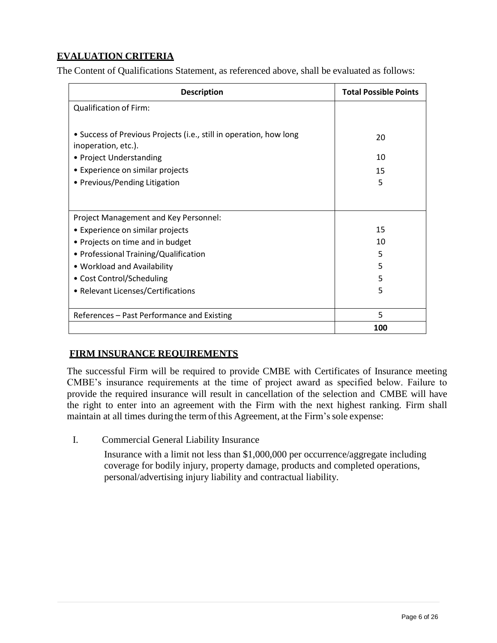# **EVALUATION CRITERIA**

The Content of Qualifications Statement, as referenced above, shall be evaluated as follows:

| <b>Description</b>                                                                        | <b>Total Possible Points</b> |
|-------------------------------------------------------------------------------------------|------------------------------|
| <b>Qualification of Firm:</b>                                                             |                              |
|                                                                                           |                              |
| • Success of Previous Projects (i.e., still in operation, how long<br>inoperation, etc.). | 20                           |
| • Project Understanding                                                                   | 10                           |
| • Experience on similar projects                                                          | 15                           |
| • Previous/Pending Litigation                                                             | 5                            |
|                                                                                           |                              |
| Project Management and Key Personnel:                                                     |                              |
| • Experience on similar projects                                                          | 15                           |
| • Projects on time and in budget                                                          | 10                           |
| • Professional Training/Qualification                                                     | 5                            |
| • Workload and Availability                                                               | 5                            |
| • Cost Control/Scheduling                                                                 | 5                            |
| • Relevant Licenses/Certifications                                                        | 5                            |
|                                                                                           |                              |
| References - Past Performance and Existing                                                | 5                            |
|                                                                                           | 100                          |

# **FIRM INSURANCE REQUIREMENTS**

The successful Firm will be required to provide CMBE with Certificates of Insurance meeting CMBE's insurance requirements at the time of project award as specified below. Failure to provide the required insurance will result in cancellation of the selection and CMBE will have the right to enter into an agreement with the Firm with the next highest ranking. Firm shall maintain at all times during the term of this Agreement, at the Firm's sole expense:

I. Commercial General Liability Insurance

Insurance with a limit not less than \$1,000,000 per occurrence/aggregate including coverage for bodily injury, property damage, products and completed operations, personal/advertising injury liability and contractual liability.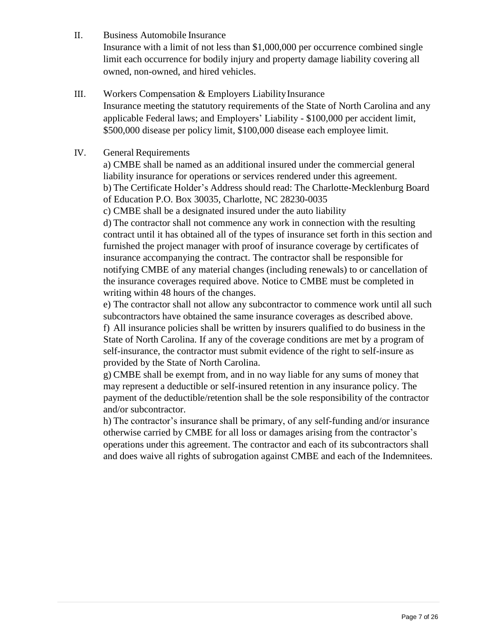II. Business Automobile Insurance

Insurance with a limit of not less than \$1,000,000 per occurrence combined single limit each occurrence for bodily injury and property damage liability covering all owned, non-owned, and hired vehicles.

- III. Workers Compensation & Employers LiabilityInsurance Insurance meeting the statutory requirements of the State of North Carolina and any applicable Federal laws; and Employers' Liability - \$100,000 per accident limit, \$500,000 disease per policy limit, \$100,000 disease each employee limit.
- IV. General Requirements

a) CMBE shall be named as an additional insured under the commercial general liability insurance for operations or services rendered under this agreement. b) The Certificate Holder's Address should read: The Charlotte-Mecklenburg Board of Education P.O. Box 30035, Charlotte, NC 28230-0035

c) CMBE shall be a designated insured under the auto liability

d) The contractor shall not commence any work in connection with the resulting contract until it has obtained all of the types of insurance set forth in this section and furnished the project manager with proof of insurance coverage by certificates of insurance accompanying the contract. The contractor shall be responsible for notifying CMBE of any material changes (including renewals) to or cancellation of the insurance coverages required above. Notice to CMBE must be completed in writing within 48 hours of the changes.

e) The contractor shall not allow any subcontractor to commence work until all such subcontractors have obtained the same insurance coverages as described above.

f) All insurance policies shall be written by insurers qualified to do business in the State of North Carolina. If any of the coverage conditions are met by a program of self-insurance, the contractor must submit evidence of the right to self-insure as provided by the State of North Carolina.

g) CMBE shall be exempt from, and in no way liable for any sums of money that may represent a deductible or self-insured retention in any insurance policy. The payment of the deductible/retention shall be the sole responsibility of the contractor and/or subcontractor.

h) The contractor's insurance shall be primary, of any self-funding and/or insurance otherwise carried by CMBE for all loss or damages arising from the contractor's operations under this agreement. The contractor and each of its subcontractors shall and does waive all rights of subrogation against CMBE and each of the Indemnitees.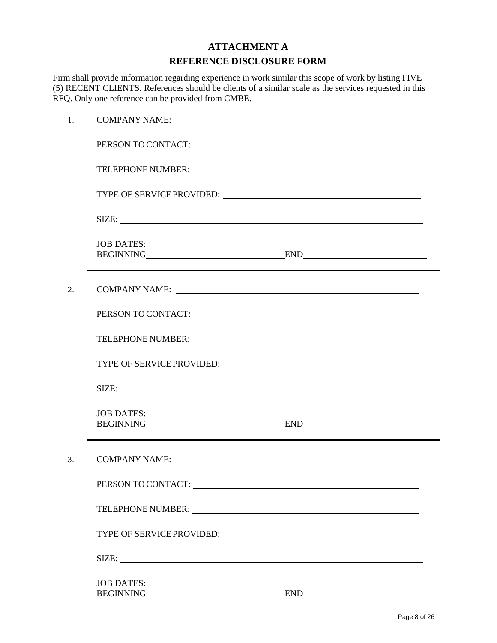# **ATTACHMENT A REFERENCE DISCLOSURE FORM**

Firm shall provide information regarding experience in work similar this scope of work by listing FIVE (5) RECENT CLIENTS. References should be clients of a similar scale as the services requested in this RFQ. Only one reference can be provided from CMBE.

| 1. |                                                                                                                                                                                                                               |     |  |
|----|-------------------------------------------------------------------------------------------------------------------------------------------------------------------------------------------------------------------------------|-----|--|
|    | PERSON TO CONTACT: University of the contract of the contract of the contract of the contract of the contract of the contract of the contract of the contract of the contract of the contract of the contract of the contract |     |  |
|    |                                                                                                                                                                                                                               |     |  |
|    |                                                                                                                                                                                                                               |     |  |
|    | SIZE:                                                                                                                                                                                                                         |     |  |
|    | <b>JOB DATES:</b><br>BEGINNING END END END                                                                                                                                                                                    |     |  |
| 2. | COMPANY NAME:                                                                                                                                                                                                                 |     |  |
|    |                                                                                                                                                                                                                               |     |  |
|    |                                                                                                                                                                                                                               |     |  |
|    |                                                                                                                                                                                                                               |     |  |
|    |                                                                                                                                                                                                                               |     |  |
|    | <b>JOB DATES:</b><br>BEGINNING END END                                                                                                                                                                                        |     |  |
| 3. | COMPANY NAME: University of the Second Company NAME:                                                                                                                                                                          |     |  |
|    | PERSON TO CONTACT: University of the contract of the contract of the contract of the contract of the contract of the contract of the contract of the contract of the contract of the contract of the contract of the contract |     |  |
|    |                                                                                                                                                                                                                               |     |  |
|    |                                                                                                                                                                                                                               |     |  |
|    | SIZE:                                                                                                                                                                                                                         |     |  |
|    | <b>JOB DATES:</b><br><b>BEGINNING</b><br><u> 1989 - Johann Barn, mars an t-Amerikaansk kommunister (</u>                                                                                                                      | END |  |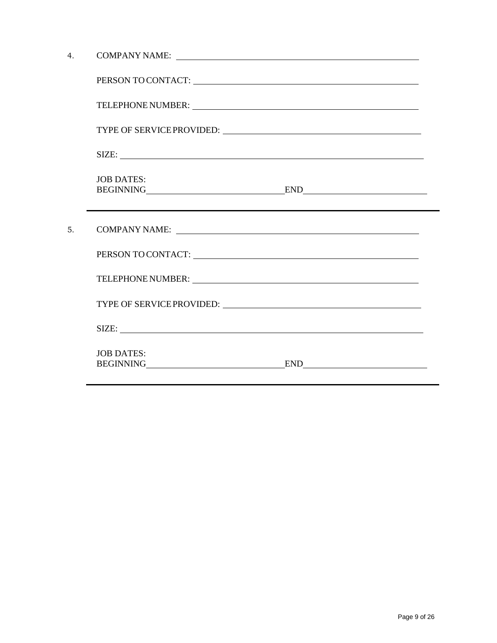| 4 <sub>1</sub> |                                                                                                                                                                                                                                |
|----------------|--------------------------------------------------------------------------------------------------------------------------------------------------------------------------------------------------------------------------------|
|                | PERSON TO CONTACT: UNIVERSITY OF A SERIES AND TO CONTACT AND THE SERIES OF A SERIES OF A SERIES OF A SERIES OF A SERIES OF A SERIES OF A SERIES OF A SERIES OF A SERIES OF A SERIES OF A SERIES OF A SERIES OF A SERIES OF A S |
|                | TELEPHONE NUMBER:                                                                                                                                                                                                              |
|                |                                                                                                                                                                                                                                |
|                | SIZE:                                                                                                                                                                                                                          |
|                | <b>JOB DATES:</b><br>BEGINNING END END<br>,我们也不会有什么。""我们的人,我们也不会有什么?""我们的人,我们也不会有什么?""我们的人,我们也不会有什么?""我们的人,我们也不会有什么?""我们的人                                                                                                     |
| 5.             |                                                                                                                                                                                                                                |
|                | PERSON TO CONTACT: University of the contract of the contract of the contract of the contract of the contract of the contract of the contract of the contract of the contract of the contract of the contract of the contract  |
|                |                                                                                                                                                                                                                                |
|                |                                                                                                                                                                                                                                |
|                | SIZE:                                                                                                                                                                                                                          |
|                | <b>JOB DATES:</b><br>BEGINNING END END                                                                                                                                                                                         |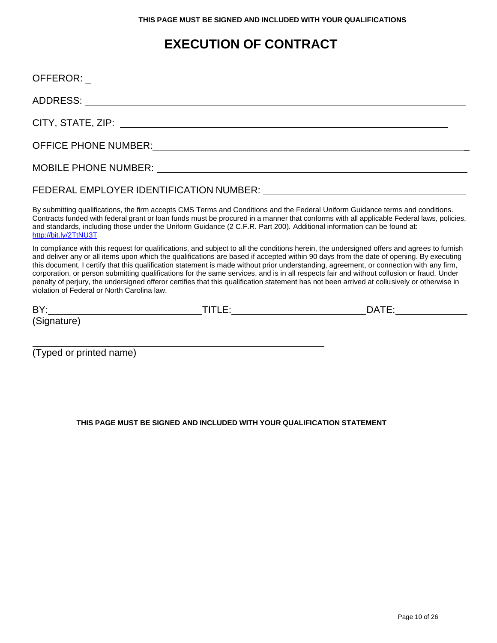# **EXECUTION OF CONTRACT**

|                                                                                                                                                                                                                                                                                                                                                                                                                                                                                                                                                                                                                                                                                                                                                                            |                                                                                                                        | FEDERAL EMPLOYER IDENTIFICATION NUMBER: University of the state of the state of the state of the state of the                                                                                                                                                              |
|----------------------------------------------------------------------------------------------------------------------------------------------------------------------------------------------------------------------------------------------------------------------------------------------------------------------------------------------------------------------------------------------------------------------------------------------------------------------------------------------------------------------------------------------------------------------------------------------------------------------------------------------------------------------------------------------------------------------------------------------------------------------------|------------------------------------------------------------------------------------------------------------------------|----------------------------------------------------------------------------------------------------------------------------------------------------------------------------------------------------------------------------------------------------------------------------|
| http://bit.ly/2TtNU3T                                                                                                                                                                                                                                                                                                                                                                                                                                                                                                                                                                                                                                                                                                                                                      | and standards, including those under the Uniform Guidance (2 C.F.R. Part 200). Additional information can be found at: | By submitting qualifications, the firm accepts CMS Terms and Conditions and the Federal Uniform Guidance terms and conditions.<br>Contracts funded with federal grant or loan funds must be procured in a manner that conforms with all applicable Federal laws, policies, |
| In compliance with this request for qualifications, and subject to all the conditions herein, the undersigned offers and agrees to furnish<br>and deliver any or all items upon which the qualifications are based if accepted within 90 days from the date of opening. By executing<br>this document, I certify that this qualification statement is made without prior understanding, agreement, or connection with any firm,<br>corporation, or person submitting qualifications for the same services, and is in all respects fair and without collusion or fraud. Under<br>penalty of perjury, the undersigned offeror certifies that this qualification statement has not been arrived at collusively or otherwise in<br>violation of Federal or North Carolina law. |                                                                                                                        |                                                                                                                                                                                                                                                                            |
|                                                                                                                                                                                                                                                                                                                                                                                                                                                                                                                                                                                                                                                                                                                                                                            |                                                                                                                        |                                                                                                                                                                                                                                                                            |
| (Signature)                                                                                                                                                                                                                                                                                                                                                                                                                                                                                                                                                                                                                                                                                                                                                                |                                                                                                                        |                                                                                                                                                                                                                                                                            |
| (Typed or printed name)                                                                                                                                                                                                                                                                                                                                                                                                                                                                                                                                                                                                                                                                                                                                                    |                                                                                                                        |                                                                                                                                                                                                                                                                            |

#### **THIS PAGE MUST BE SIGNED AND INCLUDED WITH YOUR QUALIFICATION STATEMENT**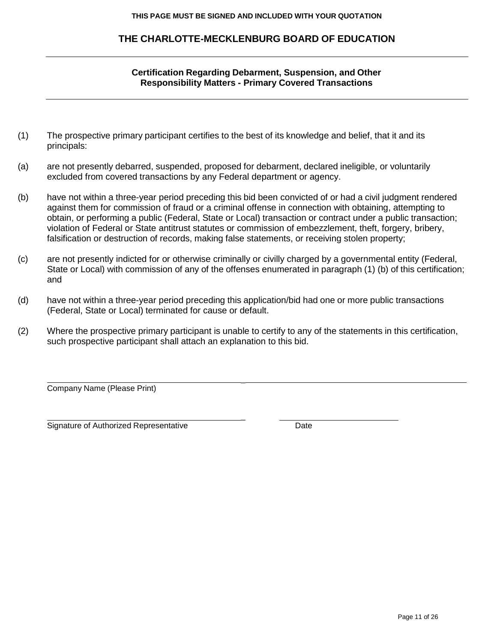# **THE CHARLOTTE-MECKLENBURG BOARD OF EDUCATION**

## **Certification Regarding Debarment, Suspension, and Other Responsibility Matters - Primary Covered Transactions**

- (1) The prospective primary participant certifies to the best of its knowledge and belief, that it and its principals:
- (a) are not presently debarred, suspended, proposed for debarment, declared ineligible, or voluntarily excluded from covered transactions by any Federal department or agency.
- (b) have not within a three-year period preceding this bid been convicted of or had a civil judgment rendered against them for commission of fraud or a criminal offense in connection with obtaining, attempting to obtain, or performing a public (Federal, State or Local) transaction or contract under a public transaction; violation of Federal or State antitrust statutes or commission of embezzlement, theft, forgery, bribery, falsification or destruction of records, making false statements, or receiving stolen property;
- (c) are not presently indicted for or otherwise criminally or civilly charged by a governmental entity (Federal, State or Local) with commission of any of the offenses enumerated in paragraph (1) (b) of this certification; and
- (d) have not within a three-year period preceding this application/bid had one or more public transactions (Federal, State or Local) terminated for cause or default.
- (2) Where the prospective primary participant is unable to certify to any of the statements in this certification, such prospective participant shall attach an explanation to this bid.

\_

\_

Company Name (Please Print)

Signature of Authorized Representative **Date** Date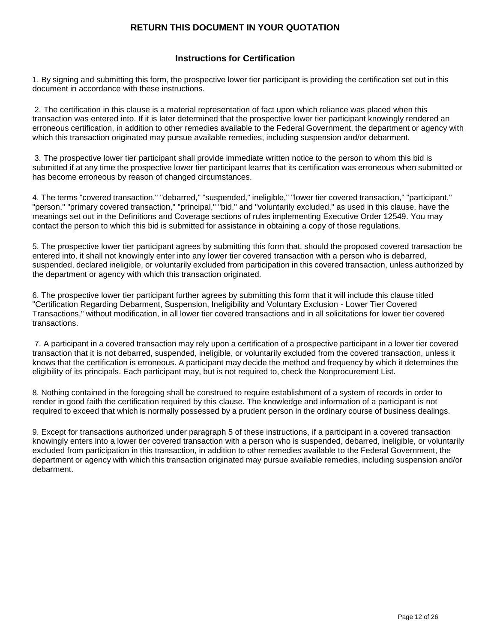### **RETURN THIS DOCUMENT IN YOUR QUOTATION**

#### **Instructions for Certification**

1. By signing and submitting this form, the prospective lower tier participant is providing the certification set out in this document in accordance with these instructions.

2. The certification in this clause is a material representation of fact upon which reliance was placed when this transaction was entered into. If it is later determined that the prospective lower tier participant knowingly rendered an erroneous certification, in addition to other remedies available to the Federal Government, the department or agency with which this transaction originated may pursue available remedies, including suspension and/or debarment.

3. The prospective lower tier participant shall provide immediate written notice to the person to whom this bid is submitted if at any time the prospective lower tier participant learns that its certification was erroneous when submitted or has become erroneous by reason of changed circumstances.

4. The terms "covered transaction," "debarred," "suspended," ineligible," "lower tier covered transaction," "participant," "person," "primary covered transaction," "principal," "bid," and "voluntarily excluded," as used in this clause, have the meanings set out in the Definitions and Coverage sections of rules implementing Executive Order 12549. You may contact the person to which this bid is submitted for assistance in obtaining a copy of those regulations.

5. The prospective lower tier participant agrees by submitting this form that, should the proposed covered transaction be entered into, it shall not knowingly enter into any lower tier covered transaction with a person who is debarred, suspended, declared ineligible, or voluntarily excluded from participation in this covered transaction, unless authorized by the department or agency with which this transaction originated.

6. The prospective lower tier participant further agrees by submitting this form that it will include this clause titled "Certification Regarding Debarment, Suspension, Ineligibility and Voluntary Exclusion - Lower Tier Covered Transactions," without modification, in all lower tier covered transactions and in all solicitations for lower tier covered transactions.

7. A participant in a covered transaction may rely upon a certification of a prospective participant in a lower tier covered transaction that it is not debarred, suspended, ineligible, or voluntarily excluded from the covered transaction, unless it knows that the certification is erroneous. A participant may decide the method and frequency by which it determines the eligibility of its principals. Each participant may, but is not required to, check the Nonprocurement List.

8. Nothing contained in the foregoing shall be construed to require establishment of a system of records in order to render in good faith the certification required by this clause. The knowledge and information of a participant is not required to exceed that which is normally possessed by a prudent person in the ordinary course of business dealings.

9. Except for transactions authorized under paragraph 5 of these instructions, if a participant in a covered transaction knowingly enters into a lower tier covered transaction with a person who is suspended, debarred, ineligible, or voluntarily excluded from participation in this transaction, in addition to other remedies available to the Federal Government, the department or agency with which this transaction originated may pursue available remedies, including suspension and/or debarment.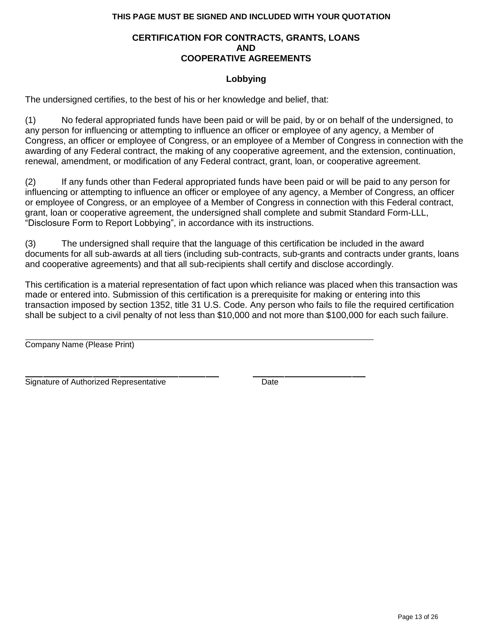#### **CERTIFICATION FOR CONTRACTS, GRANTS, LOANS AND COOPERATIVE AGREEMENTS**

#### **Lobbying**

The undersigned certifies, to the best of his or her knowledge and belief, that:

(1) No federal appropriated funds have been paid or will be paid, by or on behalf of the undersigned, to any person for influencing or attempting to influence an officer or employee of any agency, a Member of Congress, an officer or employee of Congress, or an employee of a Member of Congress in connection with the awarding of any Federal contract, the making of any cooperative agreement, and the extension, continuation, renewal, amendment, or modification of any Federal contract, grant, loan, or cooperative agreement.

(2) If any funds other than Federal appropriated funds have been paid or will be paid to any person for influencing or attempting to influence an officer or employee of any agency, a Member of Congress, an officer or employee of Congress, or an employee of a Member of Congress in connection with this Federal contract, grant, loan or cooperative agreement, the undersigned shall complete and submit Standard Form-LLL, "Disclosure Form to Report Lobbying", in accordance with its instructions.

(3) The undersigned shall require that the language of this certification be included in the award documents for all sub-awards at all tiers (including sub-contracts, sub-grants and contracts under grants, loans and cooperative agreements) and that all sub-recipients shall certify and disclose accordingly.

This certification is a material representation of fact upon which reliance was placed when this transaction was made or entered into. Submission of this certification is a prerequisite for making or entering into this transaction imposed by section 1352, title 31 U.S. Code. Any person who fails to file the required certification shall be subject to a civil penalty of not less than \$10,000 and not more than \$100,000 for each such failure.

Company Name (Please Print)

Signature of Authorized Representative **Date** Date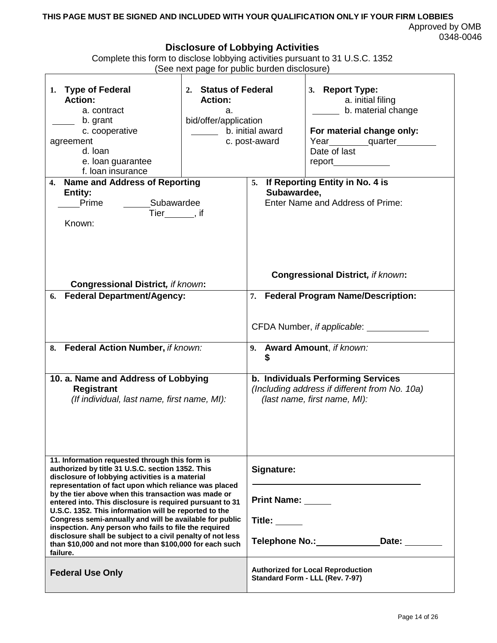#### **THIS PAGE MUST BE SIGNED AND INCLUDED WITH YOUR QUALIFICATION ONLY IF YOUR FIRM LOBBIES** Approved by OMB 0348-0046

# **Disclosure of Lobbying Activities**

| Complete this form to disclose lobbying activities pursuant to 31 U.S.C. 1352 |  |
|-------------------------------------------------------------------------------|--|
| (See next page for public burden disclosure)                                  |  |
|                                                                               |  |

|                                                                                                                                                                                                                                                                                                                                                                                                                                   | $\frac{1}{2}$                                                                                              |                                                                             |                                                                                                                         |  |
|-----------------------------------------------------------------------------------------------------------------------------------------------------------------------------------------------------------------------------------------------------------------------------------------------------------------------------------------------------------------------------------------------------------------------------------|------------------------------------------------------------------------------------------------------------|-----------------------------------------------------------------------------|-------------------------------------------------------------------------------------------------------------------------|--|
| 1. Type of Federal<br><b>Action:</b><br>a. contract<br>b. grant<br>c. cooperative<br>agreement<br>d. loan<br>e. loan guarantee<br>f. loan insurance                                                                                                                                                                                                                                                                               | 2. Status of Federal<br><b>Action:</b><br>a.<br>bid/offer/application<br>b. initial award<br>c. post-award |                                                                             | 3. Report Type:<br>a. initial filing<br>b. material change<br>For material change only:<br>Year quarter<br>Date of last |  |
| 4. Name and Address of Reporting<br><b>Entity:</b><br>Prime<br>Known:                                                                                                                                                                                                                                                                                                                                                             | Subawardee<br>Tier_______, if                                                                              |                                                                             | 5. If Reporting Entity in No. 4 is<br>Subawardee,<br>Enter Name and Address of Prime:                                   |  |
|                                                                                                                                                                                                                                                                                                                                                                                                                                   |                                                                                                            |                                                                             | <b>Congressional District, if known:</b>                                                                                |  |
| <b>Congressional District, if known:</b><br><b>Federal Department/Agency:</b><br>6.                                                                                                                                                                                                                                                                                                                                               |                                                                                                            | 7.                                                                          | <b>Federal Program Name/Description:</b>                                                                                |  |
| 8. Federal Action Number, if known:                                                                                                                                                                                                                                                                                                                                                                                               |                                                                                                            | 9. Award Amount, if known:                                                  |                                                                                                                         |  |
| 10. a. Name and Address of Lobbying<br><b>Registrant</b><br>(If individual, last name, first name, MI):                                                                                                                                                                                                                                                                                                                           |                                                                                                            |                                                                             | b. Individuals Performing Services<br>(Including address if different from No. 10a)<br>(last name, first name, MI):     |  |
| 11. Information requested through this form is<br>authorized by title 31 U.S.C. section 1352. This<br>disclosure of lobbying activities is a material<br>representation of fact upon which reliance was placed                                                                                                                                                                                                                    |                                                                                                            | Signature:                                                                  |                                                                                                                         |  |
| by the tier above when this transaction was made or<br>entered into. This disclosure is required pursuant to 31<br>U.S.C. 1352. This information will be reported to the<br>Congress semi-annually and will be available for public<br>inspection. Any person who fails to file the required<br>disclosure shall be subject to a civil penalty of not less<br>than \$10,000 and not more than \$100,000 for each such<br>failure. |                                                                                                            | Print Name: _____<br>Title: $\_\_$                                          |                                                                                                                         |  |
|                                                                                                                                                                                                                                                                                                                                                                                                                                   |                                                                                                            | <b>Telephone No.:</b><br>Date: ______                                       |                                                                                                                         |  |
| <b>Federal Use Only</b>                                                                                                                                                                                                                                                                                                                                                                                                           |                                                                                                            | <b>Authorized for Local Reproduction</b><br>Standard Form - LLL (Rev. 7-97) |                                                                                                                         |  |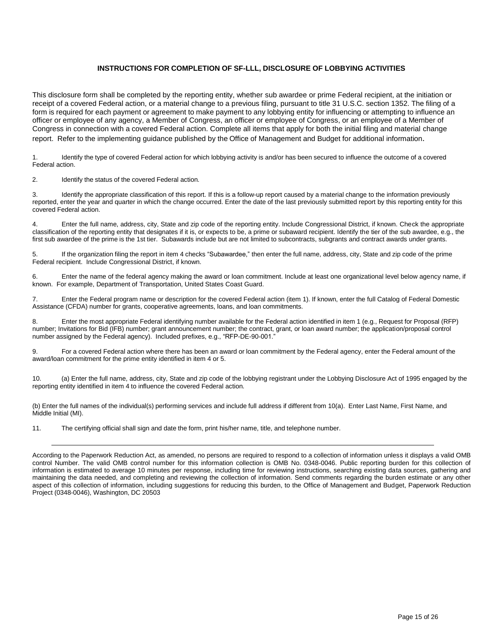#### **INSTRUCTIONS FOR COMPLETION OF SF-LLL, DISCLOSURE OF LOBBYING ACTIVITIES**

This disclosure form shall be completed by the reporting entity, whether sub awardee or prime Federal recipient, at the initiation or receipt of a covered Federal action, or a material change to a previous filing, pursuant to title 31 U.S.C. section 1352. The filing of a form is required for each payment or agreement to make payment to any lobbying entity for influencing or attempting to influence an officer or employee of any agency, a Member of Congress, an officer or employee of Congress, or an employee of a Member of Congress in connection with a covered Federal action. Complete all items that apply for both the initial filing and material change report. Refer to the implementing guidance published by the Office of Management and Budget for additional information.

1. Identify the type of covered Federal action for which lobbying activity is and/or has been secured to influence the outcome of a covered Federal action.

2. Identify the status of the covered Federal action.

3. Identify the appropriate classification of this report. If this is a follow-up report caused by a material change to the information previously reported, enter the year and quarter in which the change occurred. Enter the date of the last previously submitted report by this reporting entity for this covered Federal action.

4. Enter the full name, address, city, State and zip code of the reporting entity. Include Congressional District, if known. Check the appropriate classification of the reporting entity that designates if it is, or expects to be, a prime or subaward recipient. Identify the tier of the sub awardee, e.g., the first sub awardee of the prime is the 1st tier. Subawards include but are not limited to subcontracts, subgrants and contract awards under grants.

5. If the organization filing the report in item 4 checks "Subawardee," then enter the full name, address, city, State and zip code of the prime Federal recipient. Include Congressional District, if known.

6. Enter the name of the federal agency making the award or loan commitment. Include at least one organizational level below agency name, if known. For example, Department of Transportation, United States Coast Guard.

7. Enter the Federal program name or description for the covered Federal action (item 1). If known, enter the full Catalog of Federal Domestic Assistance (CFDA) number for grants, cooperative agreements, loans, and loan commitments.

8. Enter the most appropriate Federal identifying number available for the Federal action identified in item 1 (e.g., Request for Proposal (RFP) number; Invitations for Bid (IFB) number; grant announcement number; the contract, grant, or loan award number; the application/proposal control number assigned by the Federal agency). Included prefixes, e.g., "RFP-DE-90-001."

9. For a covered Federal action where there has been an award or loan commitment by the Federal agency, enter the Federal amount of the award/loan commitment for the prime entity identified in item 4 or 5.

10. (a) Enter the full name, address, city, State and zip code of the lobbying registrant under the Lobbying Disclosure Act of 1995 engaged by the reporting entity identified in item 4 to influence the covered Federal action.

(b) Enter the full names of the individual(s) performing services and include full address if different from 10(a). Enter Last Name, First Name, and Middle Initial (MI).

11. The certifying official shall sign and date the form, print his/her name, title, and telephone number.

According to the Paperwork Reduction Act, as amended, no persons are required to respond to a collection of information unless it displays a valid OMB control Number. The valid OMB control number for this information collection is OMB No. 0348-0046. Public reporting burden for this collection of information is estimated to average 10 minutes per response, including time for reviewing instructions, searching existing data sources, gathering and maintaining the data needed, and completing and reviewing the collection of information. Send comments regarding the burden estimate or any other aspect of this collection of information, including suggestions for reducing this burden, to the Office of Management and Budget, Paperwork Reduction Project (0348-0046), Washington, DC 20503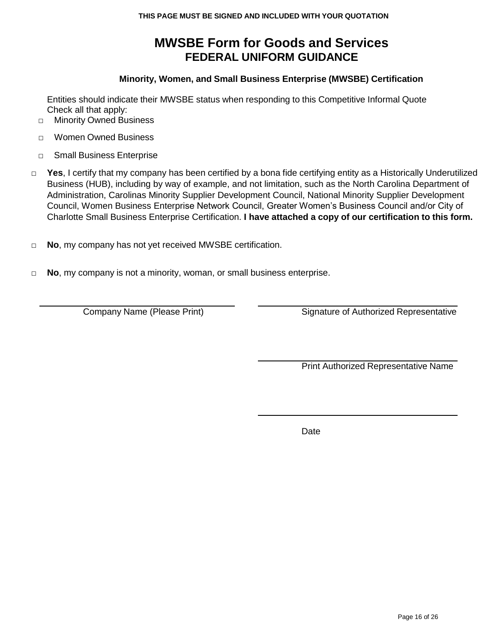# **MWSBE Form for Goods and Services FEDERAL UNIFORM GUIDANCE**

## **Minority, Women, and Small Business Enterprise (MWSBE) Certification**

Entities should indicate their MWSBE status when responding to this Competitive Informal Quote Check all that apply:

- □ Minority Owned Business
- □ Women Owned Business
- □ Small Business Enterprise
- □ Yes, I certify that my company has been certified by a bona fide certifying entity as a Historically Underutilized Business (HUB), including by way of example, and not limitation, such as the North Carolina Department of Administration, Carolinas Minority Supplier Development Council, National Minority Supplier Development Council, Women Business Enterprise Network Council, Greater Women's Business Council and/or City of Charlotte Small Business Enterprise Certification. **I have attached a copy of our certification to this form.**
- □ **No**, my company has not yet received MWSBE certification.
- □ **No**, my company is not a minority, woman, or small business enterprise.

Company Name (Please Print) Signature of Authorized Representative

Print Authorized Representative Name

Date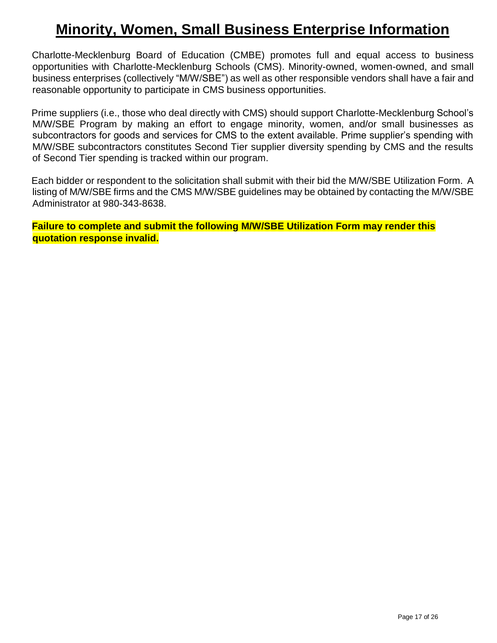# **Minority, Women, Small Business Enterprise Information**

Charlotte-Mecklenburg Board of Education (CMBE) promotes full and equal access to business opportunities with Charlotte-Mecklenburg Schools (CMS). Minority-owned, women-owned, and small business enterprises (collectively "M/W/SBE") as well as other responsible vendors shall have a fair and reasonable opportunity to participate in CMS business opportunities.

Prime suppliers (i.e., those who deal directly with CMS) should support Charlotte-Mecklenburg School's M/W/SBE Program by making an effort to engage minority, women, and/or small businesses as subcontractors for goods and services for CMS to the extent available. Prime supplier's spending with M/W/SBE subcontractors constitutes Second Tier supplier diversity spending by CMS and the results of Second Tier spending is tracked within our program.

Each bidder or respondent to the solicitation shall submit with their bid the M/W/SBE Utilization Form. A listing of M/W/SBE firms and the CMS M/W/SBE guidelines may be obtained by contacting the M/W/SBE Administrator at 980-343-8638.

**Failure to complete and submit the following M/W/SBE Utilization Form may render this quotation response invalid.**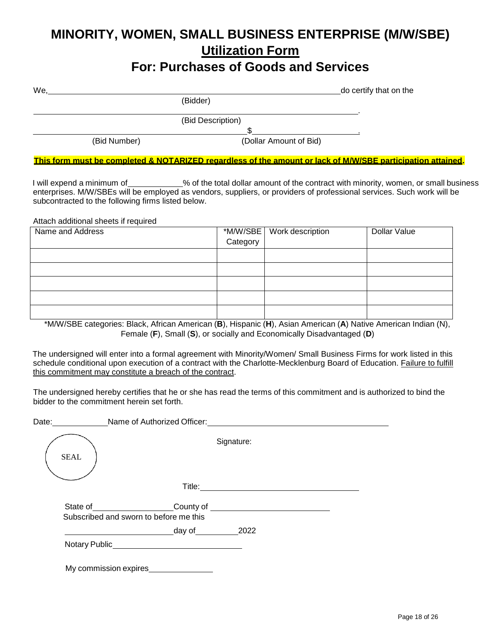# **MINORITY, WOMEN, SMALL BUSINESS ENTERPRISE (M/W/SBE) Utilization Form**

# **For: Purchases of Goods and Services**

| We,          |                        | do certify that on the |
|--------------|------------------------|------------------------|
|              | (Bidder)               |                        |
|              |                        |                        |
|              | (Bid Description)      |                        |
|              |                        |                        |
| (Bid Number) | (Dollar Amount of Bid) |                        |

This form must be completed & NOTARIZED regardless of the amount or lack of M/W/SBE participation attained.

I will expend a minimum of warrally to the total dollar amount of the contract with minority, women, or small business enterprises. M/W/SBEs will be employed as vendors, suppliers, or providers of professional services. Such work will be subcontracted to the following firms listed below.

Attach additional sheets if required

| Name and Address |          | *M/W/SBE   Work description | <b>Dollar Value</b> |
|------------------|----------|-----------------------------|---------------------|
|                  | Category |                             |                     |
|                  |          |                             |                     |
|                  |          |                             |                     |
|                  |          |                             |                     |
|                  |          |                             |                     |
|                  |          |                             |                     |

\*M/W/SBE categories: Black, African American (**B**), Hispanic (**H**), Asian American (**A**) Native American Indian (N), Female (**F**), Small (**S**), or socially and Economically Disadvantaged (**D**)

The undersigned will enter into a formal agreement with Minority/Women/ Small Business Firms for work listed in this schedule conditional upon execution of a contract with the Charlotte-Mecklenburg Board of Education. Failure to fulfill this commitment may constitute a breach of the contract.

The undersigned hereby certifies that he or she has read the terms of this commitment and is authorized to bind the bidder to the commitment herein set forth.

| Date: and the state of the state of the state of the state of the state of the state of the state of the state of the state of the state of the state of the state of the state of the state of the state of the state of the | Name of Authorized Officer: Name of Authorized Officer:                                                                                                                                                                                                                                                                                                                                                                                                                                                          |  |
|-------------------------------------------------------------------------------------------------------------------------------------------------------------------------------------------------------------------------------|------------------------------------------------------------------------------------------------------------------------------------------------------------------------------------------------------------------------------------------------------------------------------------------------------------------------------------------------------------------------------------------------------------------------------------------------------------------------------------------------------------------|--|
| <b>SEAL</b>                                                                                                                                                                                                                   | Signature:                                                                                                                                                                                                                                                                                                                                                                                                                                                                                                       |  |
|                                                                                                                                                                                                                               |                                                                                                                                                                                                                                                                                                                                                                                                                                                                                                                  |  |
|                                                                                                                                                                                                                               | County of <u>substantial and the set of the set of the set of the set of the set of the set of the set of the set of the set of the set of the set of the set of the set of the set of the set of the set of the set of the set </u><br>State of the state of the state of the state of the state of the state of the state of the state of the state of the state of the state of the state of the state of the state of the state of the state of the state of the s<br>Subscribed and sworn to before me this |  |
|                                                                                                                                                                                                                               | day of 2022                                                                                                                                                                                                                                                                                                                                                                                                                                                                                                      |  |
|                                                                                                                                                                                                                               |                                                                                                                                                                                                                                                                                                                                                                                                                                                                                                                  |  |
|                                                                                                                                                                                                                               | My commission expires                                                                                                                                                                                                                                                                                                                                                                                                                                                                                            |  |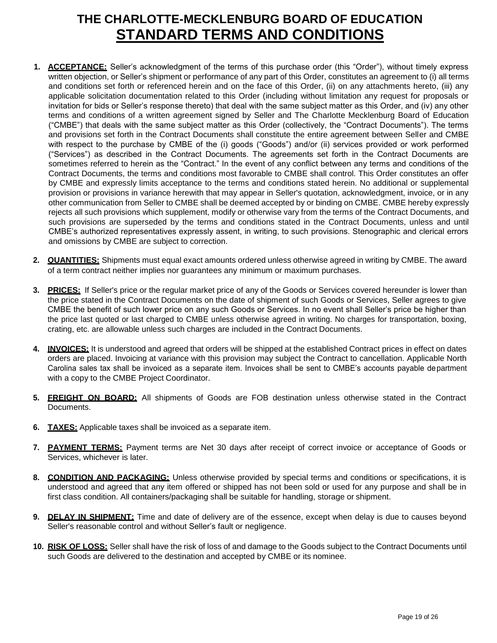# **THE CHARLOTTE-MECKLENBURG BOARD OF EDUCATION STANDARD TERMS AND CONDITIONS**

- **1. ACCEPTANCE:** Seller's acknowledgment of the terms of this purchase order (this "Order"), without timely express written objection, or Seller's shipment or performance of any part of this Order, constitutes an agreement to (i) all terms and conditions set forth or referenced herein and on the face of this Order, (ii) on any attachments hereto, (iii) any applicable solicitation documentation related to this Order (including without limitation any request for proposals or invitation for bids or Seller's response thereto) that deal with the same subject matter as this Order, and (iv) any other terms and conditions of a written agreement signed by Seller and The Charlotte Mecklenburg Board of Education ("CMBE") that deals with the same subject matter as this Order (collectively, the "Contract Documents"). The terms and provisions set forth in the Contract Documents shall constitute the entire agreement between Seller and CMBE with respect to the purchase by CMBE of the (i) goods ("Goods") and/or (ii) services provided or work performed ("Services") as described in the Contract Documents. The agreements set forth in the Contract Documents are sometimes referred to herein as the "Contract." In the event of any conflict between any terms and conditions of the Contract Documents, the terms and conditions most favorable to CMBE shall control. This Order constitutes an offer by CMBE and expressly limits acceptance to the terms and conditions stated herein. No additional or supplemental provision or provisions in variance herewith that may appear in Seller's quotation, acknowledgment, invoice, or in any other communication from Seller to CMBE shall be deemed accepted by or binding on CMBE. CMBE hereby expressly rejects all such provisions which supplement, modify or otherwise vary from the terms of the Contract Documents, and such provisions are superseded by the terms and conditions stated in the Contract Documents, unless and until CMBE's authorized representatives expressly assent, in writing, to such provisions. Stenographic and clerical errors and omissions by CMBE are subject to correction.
- **2. QUANTITIES:** Shipments must equal exact amounts ordered unless otherwise agreed in writing by CMBE. The award of a term contract neither implies nor guarantees any minimum or maximum purchases.
- **3. PRICES:** If Seller's price or the regular market price of any of the Goods or Services covered hereunder is lower than the price stated in the Contract Documents on the date of shipment of such Goods or Services, Seller agrees to give CMBE the benefit of such lower price on any such Goods or Services. In no event shall Seller's price be higher than the price last quoted or last charged to CMBE unless otherwise agreed in writing. No charges for transportation, boxing, crating, etc. are allowable unless such charges are included in the Contract Documents.
- **4. INVOICES:** It is understood and agreed that orders will be shipped at the established Contract prices in effect on dates orders are placed. Invoicing at variance with this provision may subject the Contract to cancellation. Applicable North Carolina sales tax shall be invoiced as a separate item. Invoices shall be sent to CMBE's accounts payable department with a copy to the CMBE Project Coordinator.
- **5. FREIGHT ON BOARD:** All shipments of Goods are FOB destination unless otherwise stated in the Contract Documents.
- **6. TAXES:** Applicable taxes shall be invoiced as a separate item.
- **7. PAYMENT TERMS:** Payment terms are Net 30 days after receipt of correct invoice or acceptance of Goods or Services, whichever is later.
- **8. CONDITION AND PACKAGING:** Unless otherwise provided by special terms and conditions or specifications, it is understood and agreed that any item offered or shipped has not been sold or used for any purpose and shall be in first class condition. All containers/packaging shall be suitable for handling, storage or shipment.
- **9. DELAY IN SHIPMENT:** Time and date of delivery are of the essence, except when delay is due to causes beyond Seller's reasonable control and without Seller's fault or negligence.
- **10. RISK OF LOSS:** Seller shall have the risk of loss of and damage to the Goods subject to the Contract Documents until such Goods are delivered to the destination and accepted by CMBE or its nominee.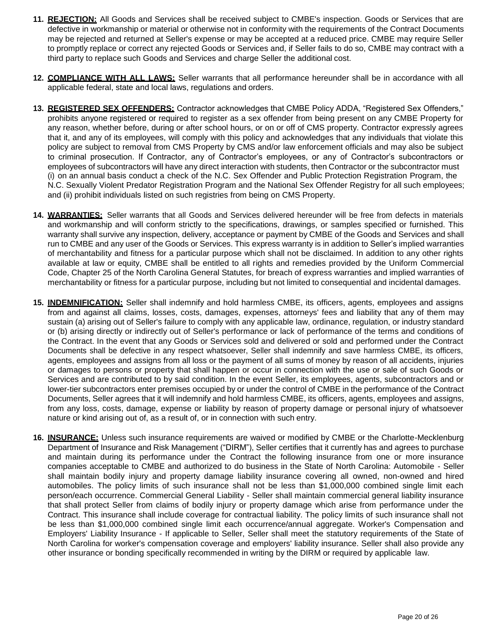- **11. REJECTION:** All Goods and Services shall be received subject to CMBE's inspection. Goods or Services that are defective in workmanship or material or otherwise not in conformity with the requirements of the Contract Documents may be rejected and returned at Seller's expense or may be accepted at a reduced price. CMBE may require Seller to promptly replace or correct any rejected Goods or Services and, if Seller fails to do so, CMBE may contract with a third party to replace such Goods and Services and charge Seller the additional cost.
- **12. COMPLIANCE WITH ALL LAWS:** Seller warrants that all performance hereunder shall be in accordance with all applicable federal, state and local laws, regulations and orders.
- **13. REGISTERED SEX OFFENDERS:** Contractor acknowledges that CMBE Policy ADDA, "Registered Sex Offenders," prohibits anyone registered or required to register as a sex offender from being present on any CMBE Property for any reason, whether before, during or after school hours, or on or off of CMS property. Contractor expressly agrees that it, and any of its employees, will comply with this policy and acknowledges that any individuals that violate this policy are subject to removal from CMS Property by CMS and/or law enforcement officials and may also be subject to criminal prosecution. If Contractor, any of Contractor's employees, or any of Contractor's subcontractors or employees of subcontractors will have any direct interaction with students, then Contractor or the subcontractor must (i) on an annual basis conduct a check of the N.C. Sex Offender and Public Protection Registration Program, the N.C. Sexually Violent Predator Registration Program and the National Sex Offender Registry for all such employees; and (ii) prohibit individuals listed on such registries from being on CMS Property.
- **14. WARRANTIES:** Seller warrants that all Goods and Services delivered hereunder will be free from defects in materials and workmanship and will conform strictly to the specifications, drawings, or samples specified or furnished. This warranty shall survive any inspection, delivery, acceptance or payment by CMBE of the Goods and Services and shall run to CMBE and any user of the Goods or Services. This express warranty is in addition to Seller's implied warranties of merchantability and fitness for a particular purpose which shall not be disclaimed. In addition to any other rights available at law or equity, CMBE shall be entitled to all rights and remedies provided by the Uniform Commercial Code, Chapter 25 of the North Carolina General Statutes, for breach of express warranties and implied warranties of merchantability or fitness for a particular purpose, including but not limited to consequential and incidental damages.
- **15. INDEMNIFICATION:** Seller shall indemnify and hold harmless CMBE, its officers, agents, employees and assigns from and against all claims, losses, costs, damages, expenses, attorneys' fees and liability that any of them may sustain (a) arising out of Seller's failure to comply with any applicable law, ordinance, regulation, or industry standard or (b) arising directly or indirectly out of Seller's performance or lack of performance of the terms and conditions of the Contract. In the event that any Goods or Services sold and delivered or sold and performed under the Contract Documents shall be defective in any respect whatsoever, Seller shall indemnify and save harmless CMBE, its officers, agents, employees and assigns from all loss or the payment of all sums of money by reason of all accidents, injuries or damages to persons or property that shall happen or occur in connection with the use or sale of such Goods or Services and are contributed to by said condition. In the event Seller, its employees, agents, subcontractors and or lower-tier subcontractors enter premises occupied by or under the control of CMBE in the performance of the Contract Documents, Seller agrees that it will indemnify and hold harmless CMBE, its officers, agents, employees and assigns, from any loss, costs, damage, expense or liability by reason of property damage or personal injury of whatsoever nature or kind arising out of, as a result of, or in connection with such entry.
- **16. INSURANCE:** Unless such insurance requirements are waived or modified by CMBE or the Charlotte-Mecklenburg Department of Insurance and Risk Management ("DIRM"), Seller certifies that it currently has and agrees to purchase and maintain during its performance under the Contract the following insurance from one or more insurance companies acceptable to CMBE and authorized to do business in the State of North Carolina: Automobile - Seller shall maintain bodily injury and property damage liability insurance covering all owned, non-owned and hired automobiles. The policy limits of such insurance shall not be less than \$1,000,000 combined single limit each person/each occurrence. Commercial General Liability - Seller shall maintain commercial general liability insurance that shall protect Seller from claims of bodily injury or property damage which arise from performance under the Contract. This insurance shall include coverage for contractual liability. The policy limits of such insurance shall not be less than \$1,000,000 combined single limit each occurrence/annual aggregate. Worker's Compensation and Employers' Liability Insurance - If applicable to Seller, Seller shall meet the statutory requirements of the State of North Carolina for worker's compensation coverage and employers' liability insurance. Seller shall also provide any other insurance or bonding specifically recommended in writing by the DIRM or required by applicable law.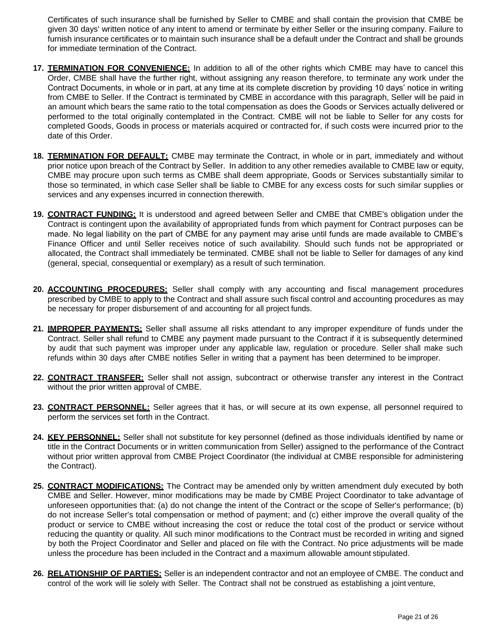Certificates of such insurance shall be furnished by Seller to CMBE and shall contain the provision that CMBE be given 30 days' written notice of any intent to amend or terminate by either Seller or the insuring company. Failure to furnish insurance certificates or to maintain such insurance shall be a default under the Contract and shall be grounds for immediate termination of the Contract.

- **17. TERMINATION FOR CONVENIENCE:** In addition to all of the other rights which CMBE may have to cancel this Order, CMBE shall have the further right, without assigning any reason therefore, to terminate any work under the Contract Documents, in whole or in part, at any time at its complete discretion by providing 10 days' notice in writing from CMBE to Seller. If the Contract is terminated by CMBE in accordance with this paragraph, Seller will be paid in an amount which bears the same ratio to the total compensation as does the Goods or Services actually delivered or performed to the total originally contemplated in the Contract. CMBE will not be liable to Seller for any costs for completed Goods, Goods in process or materials acquired or contracted for, if such costs were incurred prior to the date of this Order.
- **18. TERMINATION FOR DEFAULT:** CMBE may terminate the Contract, in whole or in part, immediately and without prior notice upon breach of the Contract by Seller. In addition to any other remedies available to CMBE law or equity, CMBE may procure upon such terms as CMBE shall deem appropriate, Goods or Services substantially similar to those so terminated, in which case Seller shall be liable to CMBE for any excess costs for such similar supplies or services and any expenses incurred in connection therewith.
- **19. CONTRACT FUNDING:** It is understood and agreed between Seller and CMBE that CMBE's obligation under the Contract is contingent upon the availability of appropriated funds from which payment for Contract purposes can be made. No legal liability on the part of CMBE for any payment may arise until funds are made available to CMBE's Finance Officer and until Seller receives notice of such availability. Should such funds not be appropriated or allocated, the Contract shall immediately be terminated. CMBE shall not be liable to Seller for damages of any kind (general, special, consequential or exemplary) as a result of such termination.
- **20. ACCOUNTING PROCEDURES:** Seller shall comply with any accounting and fiscal management procedures prescribed by CMBE to apply to the Contract and shall assure such fiscal control and accounting procedures as may be necessary for proper disbursement of and accounting for all project funds.
- **21. IMPROPER PAYMENTS:** Seller shall assume all risks attendant to any improper expenditure of funds under the Contract. Seller shall refund to CMBE any payment made pursuant to the Contract if it is subsequently determined by audit that such payment was improper under any applicable law, regulation or procedure. Seller shall make such refunds within 30 days after CMBE notifies Seller in writing that a payment has been determined to be improper.
- **22. CONTRACT TRANSFER:** Seller shall not assign, subcontract or otherwise transfer any interest in the Contract without the prior written approval of CMBE.
- **23. CONTRACT PERSONNEL:** Seller agrees that it has, or will secure at its own expense, all personnel required to perform the services set forth in the Contract.
- **24. KEY PERSONNEL:** Seller shall not substitute for key personnel (defined as those individuals identified by name or title in the Contract Documents or in written communication from Seller) assigned to the performance of the Contract without prior written approval from CMBE Project Coordinator (the individual at CMBE responsible for administering the Contract).
- **25. CONTRACT MODIFICATIONS:** The Contract may be amended only by written amendment duly executed by both CMBE and Seller. However, minor modifications may be made by CMBE Project Coordinator to take advantage of unforeseen opportunities that: (a) do not change the intent of the Contract or the scope of Seller's performance; (b) do not increase Seller's total compensation or method of payment; and (c) either improve the overall quality of the product or service to CMBE without increasing the cost or reduce the total cost of the product or service without reducing the quantity or quality. All such minor modifications to the Contract must be recorded in writing and signed by both the Project Coordinator and Seller and placed on file with the Contract. No price adjustments will be made unless the procedure has been included in the Contract and a maximum allowable amount stipulated.
- **26. RELATIONSHIP OF PARTIES:** Seller is an independent contractor and not an employee of CMBE. The conduct and control of the work will lie solely with Seller. The Contract shall not be construed as establishing a joint venture,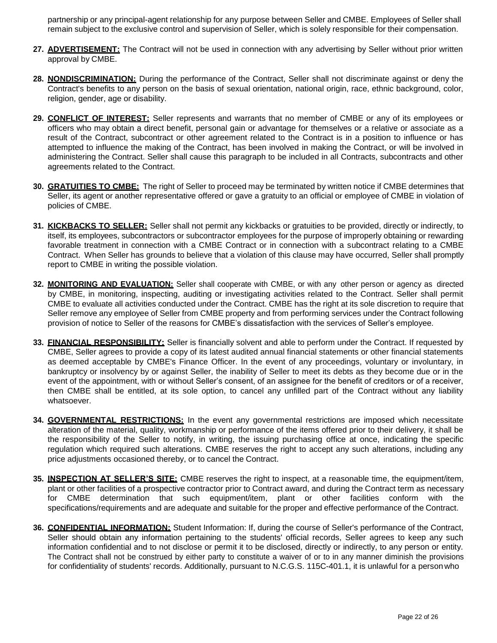partnership or any principal-agent relationship for any purpose between Seller and CMBE. Employees of Seller shall remain subject to the exclusive control and supervision of Seller, which is solely responsible for their compensation.

- **27. ADVERTISEMENT:** The Contract will not be used in connection with any advertising by Seller without prior written approval by CMBE.
- **28. NONDISCRIMINATION:** During the performance of the Contract, Seller shall not discriminate against or deny the Contract's benefits to any person on the basis of sexual orientation, national origin, race, ethnic background, color, religion, gender, age or disability.
- **29. CONFLICT OF INTEREST:** Seller represents and warrants that no member of CMBE or any of its employees or officers who may obtain a direct benefit, personal gain or advantage for themselves or a relative or associate as a result of the Contract, subcontract or other agreement related to the Contract is in a position to influence or has attempted to influence the making of the Contract, has been involved in making the Contract, or will be involved in administering the Contract. Seller shall cause this paragraph to be included in all Contracts, subcontracts and other agreements related to the Contract.
- **30. GRATUITIES TO CMBE:** The right of Seller to proceed may be terminated by written notice if CMBE determines that Seller, its agent or another representative offered or gave a gratuity to an official or employee of CMBE in violation of policies of CMBE.
- **31. KICKBACKS TO SELLER:** Seller shall not permit any kickbacks or gratuities to be provided, directly or indirectly, to itself, its employees, subcontractors or subcontractor employees for the purpose of improperly obtaining or rewarding favorable treatment in connection with a CMBE Contract or in connection with a subcontract relating to a CMBE Contract. When Seller has grounds to believe that a violation of this clause may have occurred, Seller shall promptly report to CMBE in writing the possible violation.
- **32. MONITORING AND EVALUATION:** Seller shall cooperate with CMBE, or with any other person or agency as directed by CMBE, in monitoring, inspecting, auditing or investigating activities related to the Contract. Seller shall permit CMBE to evaluate all activities conducted under the Contract. CMBE has the right at its sole discretion to require that Seller remove any employee of Seller from CMBE property and from performing services under the Contract following provision of notice to Seller of the reasons for CMBE's dissatisfaction with the services of Seller's employee.
- **33. FINANCIAL RESPONSIBILITY:** Seller is financially solvent and able to perform under the Contract. If requested by CMBE, Seller agrees to provide a copy of its latest audited annual financial statements or other financial statements as deemed acceptable by CMBE's Finance Officer. In the event of any proceedings, voluntary or involuntary, in bankruptcy or insolvency by or against Seller, the inability of Seller to meet its debts as they become due or in the event of the appointment, with or without Seller's consent, of an assignee for the benefit of creditors or of a receiver, then CMBE shall be entitled, at its sole option, to cancel any unfilled part of the Contract without any liability whatsoever.
- **34. GOVERNMENTAL RESTRICTIONS:** In the event any governmental restrictions are imposed which necessitate alteration of the material, quality, workmanship or performance of the items offered prior to their delivery, it shall be the responsibility of the Seller to notify, in writing, the issuing purchasing office at once, indicating the specific regulation which required such alterations. CMBE reserves the right to accept any such alterations, including any price adjustments occasioned thereby, or to cancel the Contract.
- **35. INSPECTION AT SELLER'S SITE:** CMBE reserves the right to inspect, at a reasonable time, the equipment/item, plant or other facilities of a prospective contractor prior to Contract award, and during the Contract term as necessary for CMBE determination that such equipment/item, plant or other facilities conform with the specifications/requirements and are adequate and suitable for the proper and effective performance of the Contract.
- **36. CONFIDENTIAL INFORMATION:** Student Information: If, during the course of Seller's performance of the Contract, Seller should obtain any information pertaining to the students' official records, Seller agrees to keep any such information confidential and to not disclose or permit it to be disclosed, directly or indirectly, to any person or entity. The Contract shall not be construed by either party to constitute a waiver of or to in any manner diminish the provisions for confidentiality of students' records. Additionally, pursuant to N.C.G.S. 115C-401.1, it is unlawful for a personwho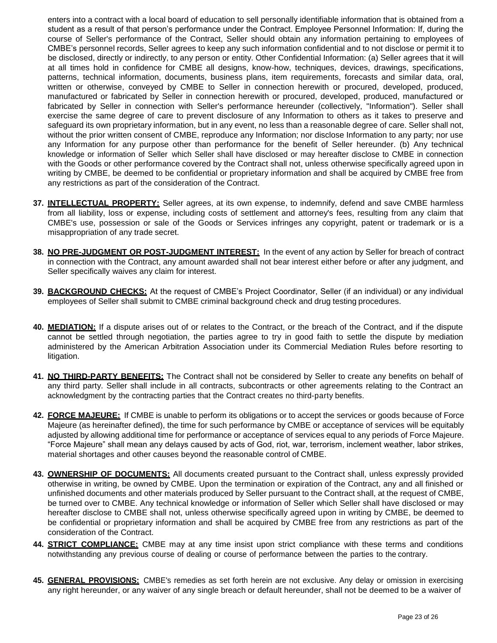enters into a contract with a local board of education to sell personally identifiable information that is obtained from a student as a result of that person's performance under the Contract. Employee Personnel Information: If, during the course of Seller's performance of the Contract, Seller should obtain any information pertaining to employees of CMBE's personnel records, Seller agrees to keep any such information confidential and to not disclose or permit it to be disclosed, directly or indirectly, to any person or entity. Other Confidential Information: (a) Seller agrees that it will at all times hold in confidence for CMBE all designs, know-how, techniques, devices, drawings, specifications, patterns, technical information, documents, business plans, item requirements, forecasts and similar data, oral, written or otherwise, conveyed by CMBE to Seller in connection herewith or procured, developed, produced, manufactured or fabricated by Seller in connection herewith or procured, developed, produced, manufactured or fabricated by Seller in connection with Seller's performance hereunder (collectively, "Information"). Seller shall exercise the same degree of care to prevent disclosure of any Information to others as it takes to preserve and safeguard its own proprietary information, but in any event, no less than a reasonable degree of care. Seller shall not, without the prior written consent of CMBE, reproduce any Information; nor disclose Information to any party; nor use any Information for any purpose other than performance for the benefit of Seller hereunder. (b) Any technical knowledge or information of Seller which Seller shall have disclosed or may hereafter disclose to CMBE in connection with the Goods or other performance covered by the Contract shall not, unless otherwise specifically agreed upon in writing by CMBE, be deemed to be confidential or proprietary information and shall be acquired by CMBE free from any restrictions as part of the consideration of the Contract.

- **37. INTELLECTUAL PROPERTY:** Seller agrees, at its own expense, to indemnify, defend and save CMBE harmless from all liability, loss or expense, including costs of settlement and attorney's fees, resulting from any claim that CMBE's use, possession or sale of the Goods or Services infringes any copyright, patent or trademark or is a misappropriation of any trade secret.
- **38. NO PRE-JUDGMENT OR POST-JUDGMENT INTEREST:** In the event of any action by Seller for breach of contract in connection with the Contract, any amount awarded shall not bear interest either before or after any judgment, and Seller specifically waives any claim for interest.
- **39. BACKGROUND CHECKS:** At the request of CMBE's Project Coordinator, Seller (if an individual) or any individual employees of Seller shall submit to CMBE criminal background check and drug testing procedures.
- **40. MEDIATION:** If a dispute arises out of or relates to the Contract, or the breach of the Contract, and if the dispute cannot be settled through negotiation, the parties agree to try in good faith to settle the dispute by mediation administered by the American Arbitration Association under its Commercial Mediation Rules before resorting to litigation.
- **41. NO THIRD-PARTY BENEFITS:** The Contract shall not be considered by Seller to create any benefits on behalf of any third party. Seller shall include in all contracts, subcontracts or other agreements relating to the Contract an acknowledgment by the contracting parties that the Contract creates no third-party benefits.
- **42. FORCE MAJEURE:** If CMBE is unable to perform its obligations or to accept the services or goods because of Force Majeure (as hereinafter defined), the time for such performance by CMBE or acceptance of services will be equitably adjusted by allowing additional time for performance or acceptance of services equal to any periods of Force Majeure. "Force Majeure" shall mean any delays caused by acts of God, riot, war, terrorism, inclement weather, labor strikes, material shortages and other causes beyond the reasonable control of CMBE.
- **43. OWNERSHIP OF DOCUMENTS:** All documents created pursuant to the Contract shall, unless expressly provided otherwise in writing, be owned by CMBE. Upon the termination or expiration of the Contract, any and all finished or unfinished documents and other materials produced by Seller pursuant to the Contract shall, at the request of CMBE, be turned over to CMBE. Any technical knowledge or information of Seller which Seller shall have disclosed or may hereafter disclose to CMBE shall not, unless otherwise specifically agreed upon in writing by CMBE, be deemed to be confidential or proprietary information and shall be acquired by CMBE free from any restrictions as part of the consideration of the Contract.
- **44. STRICT COMPLIANCE:** CMBE may at any time insist upon strict compliance with these terms and conditions notwithstanding any previous course of dealing or course of performance between the parties to the contrary.
- **45. GENERAL PROVISIONS:** CMBE's remedies as set forth herein are not exclusive. Any delay or omission in exercising any right hereunder, or any waiver of any single breach or default hereunder, shall not be deemed to be a waiver of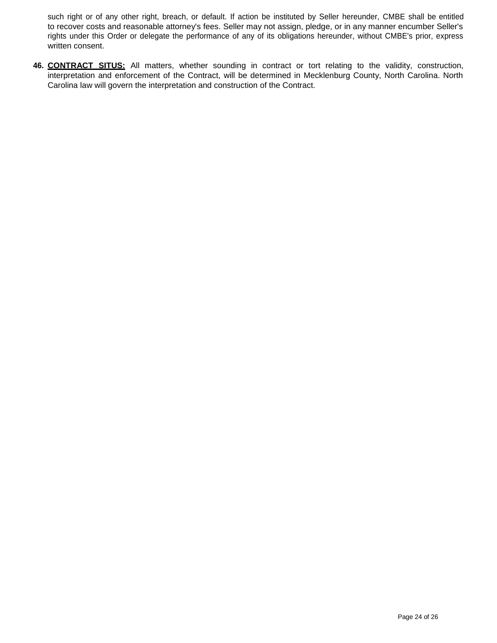such right or of any other right, breach, or default. If action be instituted by Seller hereunder, CMBE shall be entitled to recover costs and reasonable attorney's fees. Seller may not assign, pledge, or in any manner encumber Seller's rights under this Order or delegate the performance of any of its obligations hereunder, without CMBE's prior, express written consent.

**46. CONTRACT SITUS:** All matters, whether sounding in contract or tort relating to the validity, construction, interpretation and enforcement of the Contract, will be determined in Mecklenburg County, North Carolina. North Carolina law will govern the interpretation and construction of the Contract.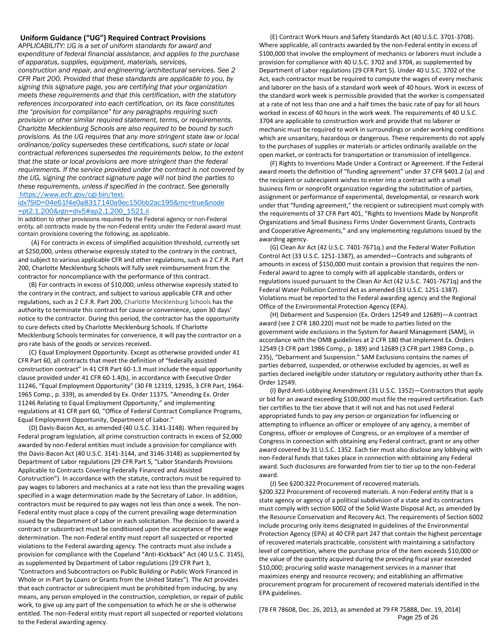#### **Uniform Guidance ("UG") Required Contract Provisions**

*APPLICABILITY: UG is a set of uniform standards for award and expenditure of federal financial assistance, and applies to the purchase of apparatus, supplies, equipment, materials, services, construction and repair, and engineering/architectural services. See 2 CFR Part 200. Provided that these standards are applicable to you, by signing this signature page, you are certifying that your organization meets these requirements and that this certification, with the statutory references incorporated into each certification, on its face constitutes the "provision for compliance" for any paragraphs requiring such provision or other similar required statement, terms, or requirements. Charlotte Mecklenburg Schools are also required to be bound by such provisions. As the UG requires that any more stringent state law or local ordinance/policy supersedes these certifications, such state or local contractual references supersedes the requirements below, to the extent that the state or local provisions are more stringent than the federal requirements. If the service provided under the contract is not covered by the UG, signing the contract signature page will not bind the parties to these requirements, unless if specified in the contract.* See generally [https://www.ecfr.gov/cgi-bin/text-](https://www.ecfr.gov/cgi-bin/text-idx?SID=04e61f4e0a8317140a9ec150bb2ac195&mc=true&node%20=pt2.1.200&rgn=div5&ap2.1.200_1521.ii%20%20)

#### [idx?SID=04e61f4e0a8317140a9ec150bb2ac195&mc=true&node](https://www.ecfr.gov/cgi-bin/text-idx?SID=04e61f4e0a8317140a9ec150bb2ac195&mc=true&node%20=pt2.1.200&rgn=div5&ap2.1.200_1521.ii%20%20) [=pt2.1.200&rgn=div5#ap2.1.200\\_1521.ii](https://www.ecfr.gov/cgi-bin/text-idx?SID=04e61f4e0a8317140a9ec150bb2ac195&mc=true&node%20=pt2.1.200&rgn=div5&ap2.1.200_1521.ii%20%20)

In addition to other provisions required by the Federal agency or non-Federal entity, all contracts made by the non-Federal entity under the Federal award must contain provisions covering the following, as applicable.

(A) For contracts in excess of simplified acquisition threshold, currently set at \$250,000, unless otherwise expressly stated to the contrary in the contract, and subject to various applicable CFR and other regulations, such as 2 C.F.R. Part 200, Charlotte Mecklenburg Schools will fully seek reimbursement from the contractor for noncompliance with the performance of this contract.

(B) For contracts in excess of \$10,000, unless otherwise expressly stated to the contrary in the contract, and subject to various applicable CFR and other regulations, such as 2 C.F.R. Part 200, Charlotte Mecklenburg Schools has the authority to terminate this contract for cause or convenience, upon 30 days' notice to the contractor. During this period, the contractor has the opportunity to cure defects cited by Charlotte Mecklenburg Schools. If Charlotte Mecklenburg Schools terminates for convenience, it will pay the contractor on a pro rate basis of the goods or services received.

(C) Equal Employment Opportunity. Except as otherwise provided under 41 CFR Part 60, all contracts that meet the definition of "federally assisted construction contract" in 41 CFR Part 60-1.3 must include the equal opportunity clause provided under 41 CFR 60-1.4(b), in accordance with Executive Order 11246, "Equal Employment Opportunity" (30 FR 12319, 12935, 3 CFR Part, 1964- 1965 Comp., p. 339), as amended by Ex. Order 11375, "Amending Ex. Order 11246 Relating to Equal Employment Opportunity," and implementing regulations at 41 CFR part 60, "Office of Federal Contract Compliance Programs, Equal Employment Opportunity, Department of Labor."

(D) Davis-Bacon Act, as amended (40 U.S.C. 3141-3148). When required by Federal program legislation, all prime construction contracts in excess of \$2,000 awarded by non-Federal entities must include a provision for compliance with the Davis-Bacon Act (40 U.S.C. 3141-3144, and 3146-3148) as supplemented by Department of Labor regulations (29 CFR Part 5, "Labor Standards Provisions Applicable to Contracts Covering Federally Financed and Assisted Construction"). In accordance with the statute, contractors must be required to pay wages to laborers and mechanics at a rate not less than the prevailing wages specified in a wage determination made by the Secretary of Labor. In addition, contractors must be required to pay wages not less than once a week. The non-Federal entity must place a copy of the current prevailing wage determination issued by the Department of Labor in each solicitation. The decision to award a contract or subcontract must be conditioned upon the acceptance of the wage determination. The non-Federal entity must report all suspected or reported violations to the Federal awarding agency. The contracts must also include a provision for compliance with the Copeland "Anti-Kickback" Act (40 U.S.C. 3145), as supplemented by Department of Labor regulations (29 CFR Part 3, "Contractors and Subcontractors on Public Building or Public Work Financed in Whole or in Part by Loans or Grants from the United States"). The Act provides that each contractor or subrecipient must be prohibited from inducing, by any means, any person employed in the construction, completion, or repair of public work, to give up any part of the compensation to which he or she is otherwise entitled. The non-Federal entity must report all suspected or reported violations to the Federal awarding agency.

(E) Contract Work Hours and Safety Standards Act (40 U.S.C. 3701-3708). Where applicable, all contracts awarded by the non-Federal entity in excess of \$100,000 that involve the employment of mechanics or laborers must include a provision for compliance with 40 U.S.C. 3702 and 3704, as supplemented by Department of Labor regulations (29 CFR Part 5). Under 40 U.S.C. 3702 of the Act, each contractor must be required to compute the wages of every mechanic and laborer on the basis of a standard work week of 40 hours. Work in excess of the standard work week is permissible provided that the worker is compensated at a rate of not less than one and a half times the basic rate of pay for all hours worked in excess of 40 hours in the work week. The requirements of 40 U.S.C. 3704 are applicable to construction work and provide that no laborer or mechanic must be required to work in surroundings or under working conditions which are unsanitary, hazardous or dangerous. These requirements do not apply to the purchases of supplies or materials or articles ordinarily available on the open market, or contracts for transportation or transmission of intelligence.

(F) Rights to Inventions Made Under a Contract or Agreement. If the Federal award meets the definition of "funding agreement" under 37 CFR §401.2 (a) and the recipient or subrecipient wishes to enter into a contract with a small business firm or nonprofit organization regarding the substitution of parties, assignment or performance of experimental, developmental, or research work under that "funding agreement," the recipient or subrecipient must comply with the requirements of 37 CFR Part 401, "Rights to Inventions Made by Nonprofit Organizations and Small Business Firms Under Government Grants, Contracts and Cooperative Agreements," and any implementing regulations issued by the awarding agency.

(G) Clean Air Act (42 U.S.C. 7401-7671q.) and the Federal Water Pollution Control Act (33 U.S.C. 1251-1387), as amended—Contracts and subgrants of amounts in excess of \$150,000 must contain a provision that requires the non-Federal award to agree to comply with all applicable standards, orders or regulations issued pursuant to the Clean Air Act (42 U.S.C. 7401-7671q) and the Federal Water Pollution Control Act as amended (33 U.S.C. 1251-1387). Violations must be reported to the Federal awarding agency and the Regional Office of the Environmental Protection Agency (EPA).

(H) Debarment and Suspension (Ex. Orders 12549 and 12689)—A contract award (see 2 CFR 180.220) must not be made to parties listed on the government wide exclusions in the System for Award Management (SAM), in accordance with the OMB guidelines at 2 CFR 180 that implement Ex. Orders 12549 (3 CFR part 1986 Comp., p. 189) and 12689 (3 CFR part 1989 Comp., p. 235), "Debarment and Suspension." SAM Exclusions contains the names of parties debarred, suspended, or otherwise excluded by agencies, as well as parties declared ineligible under statutory or regulatory authority other than Ex. Order 12549.

(I) Byrd Anti-Lobbying Amendment (31 U.S.C. 1352)—Contractors that apply or bid for an award exceeding \$100,000 must file the required certification. Each tier certifies to the tier above that it will not and has not used Federal appropriated funds to pay any person or organization for influencing or attempting to influence an officer or employee of any agency, a member of Congress, officer or employee of Congress, or an employee of a member of Congress in connection with obtaining any Federal contract, grant or any other award covered by 31 U.S.C. 1352. Each tier must also disclose any lobbying with non-Federal funds that takes place in connection with obtaining any Federal award. Such disclosures are forwarded from tier to tier up to the non-Federal award.

(J) See §200.322 Procurement of recovered materials.

§200.322 Procurement of recovered materials. A non-Federal entity that is a state agency or agency of a political subdivision of a state and its contractors must comply with section 6002 of the Solid Waste Disposal Act, as amended by the Resource Conservation and Recovery Act. The requirements of Section 6002 include procuring only items designated in guidelines of the Environmental Protection Agency (EPA) at 40 CFR part 247 that contain the highest percentage of recovered materials practicable, consistent with maintaining a satisfactory level of competition, where the purchase price of the item exceeds \$10,000 or the value of the quantity acquired during the preceding fiscal year exceeded \$10,000; procuring solid waste management services in a manner that maximizes energy and resource recovery; and establishing an affirmative procurement program for procurement of recovered materials identified in the EPA guidelines.